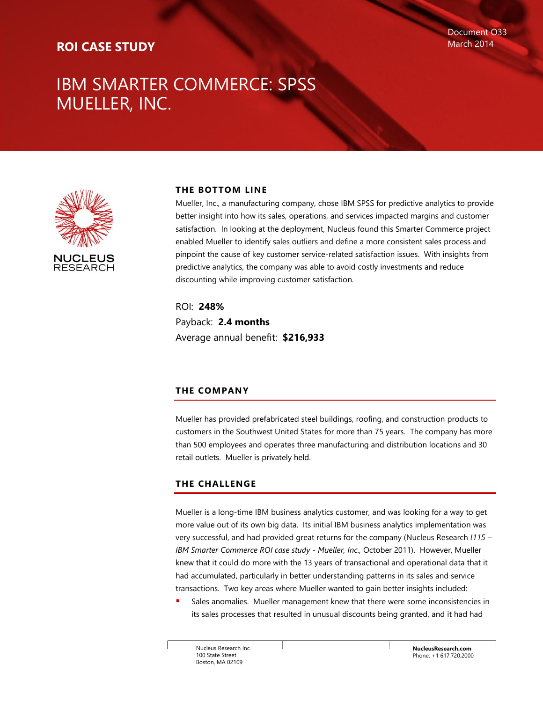### **ROI CASE STUDY**

### IBM SMARTER COMMERCE: SPSS MUELLER, INC.



### **THE BOTTOM LINE**

Mueller, Inc., a manufacturing company, chose IBM SPSS for predictive analytics to provide better insight into how its sales, operations, and services impacted margins and customer satisfaction. In looking at the deployment, Nucleus found this Smarter Commerce project enabled Mueller to identify sales outliers and define a more consistent sales process and pinpoint the cause of key customer service-related satisfaction issues. With insights from predictive analytics, the company was able to avoid costly investments and reduce discounting while improving customer satisfaction.

ROI: **248%** Payback: **2.4 months** Average annual benefit: **\$216,933**

### **THE COMPANY**

Mueller has provided prefabricated steel buildings, roofing, and construction products to customers in the Southwest United States for more than 75 years. The company has more than 500 employees and operates three manufacturing and distribution locations and 30 retail outlets. Mueller is privately held.

### **THE CHALLENGE**

Mueller is a long-time IBM business analytics customer, and was looking for a way to get more value out of its own big data. Its initial IBM business analytics implementation was very successful, and had provided great returns for the company (Nucleus Research *l115 – IBM Smarter Commerce ROI case study - Mueller, Inc.,* October 2011). However, Mueller knew that it could do more with the 13 years of transactional and operational data that it had accumulated, particularly in better understanding patterns in its sales and service transactions. Two key areas where Mueller wanted to gain better insights included:

 Sales anomalies. Mueller management knew that there were some inconsistencies in its sales processes that resulted in unusual discounts being granted, and it had had

Nucleus Research Inc. 100 State Street Boston, MA 02109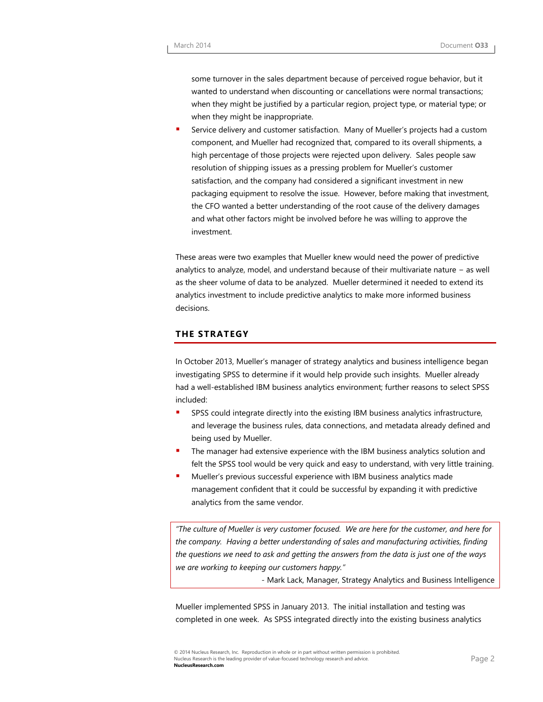some turnover in the sales department because of perceived rogue behavior, but it wanted to understand when discounting or cancellations were normal transactions; when they might be justified by a particular region, project type, or material type; or when they might be inappropriate.

 Service delivery and customer satisfaction. Many of Mueller's projects had a custom component, and Mueller had recognized that, compared to its overall shipments, a high percentage of those projects were rejected upon delivery. Sales people saw resolution of shipping issues as a pressing problem for Mueller's customer satisfaction, and the company had considered a significant investment in new packaging equipment to resolve the issue. However, before making that investment, the CFO wanted a better understanding of the root cause of the delivery damages and what other factors might be involved before he was willing to approve the investment.

These areas were two examples that Mueller knew would need the power of predictive analytics to analyze, model, and understand because of their multivariate nature − as well as the sheer volume of data to be analyzed. Mueller determined it needed to extend its analytics investment to include predictive analytics to make more informed business decisions.

### **THE STRATEGY**

In October 2013, Mueller's manager of strategy analytics and business intelligence began investigating SPSS to determine if it would help provide such insights. Mueller already had a well-established IBM business analytics environment; further reasons to select SPSS included:

- SPSS could integrate directly into the existing IBM business analytics infrastructure, and leverage the business rules, data connections, and metadata already defined and being used by Mueller.
- The manager had extensive experience with the IBM business analytics solution and felt the SPSS tool would be very quick and easy to understand, with very little training.
- Mueller's previous successful experience with IBM business analytics made management confident that it could be successful by expanding it with predictive analytics from the same vendor.

*"The culture of Mueller is very customer focused. We are here for the customer, and here for the company. Having a better understanding of sales and manufacturing activities, finding the questions we need to ask and getting the answers from the data is just one of the ways we are working to keeping our customers happy."*

*-* Mark Lack, Manager, Strategy Analytics and Business Intelligence

Mueller implemented SPSS in January 2013. The initial installation and testing was completed in one week. As SPSS integrated directly into the existing business analytics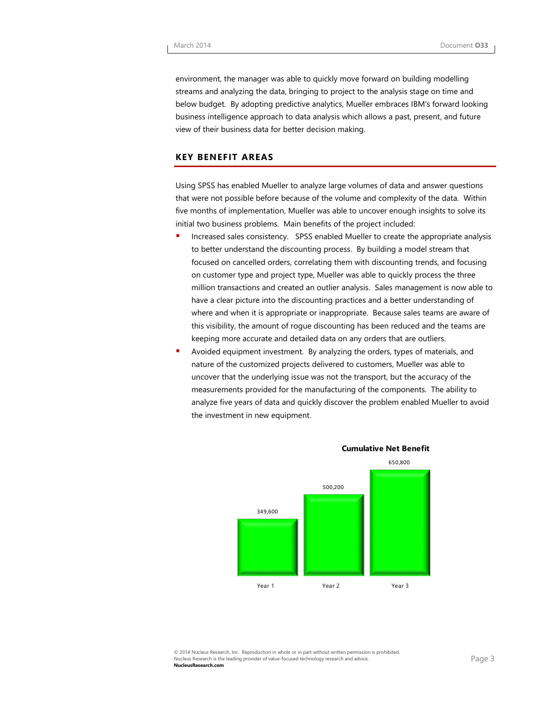environment, the manager was able to quickly move forward on building modelling streams and analyzing the data, bringing to project to the analysis stage on time and below budget. By adopting predictive analytics, Mueller embraces IBM's forward looking business intelligence approach to data analysis which allows a past, present, and future view of their business data for better decision making.

### **KEY BENEFIT AREAS**

Using SPSS has enabled Mueller to analyze large volumes of data and answer questions that were not possible before because of the volume and complexity of the data. Within five months of implementation, Mueller was able to uncover enough insights to solve its initial two business problems. Main benefits of the project included:

- **Increased sales consistency. SPSS enabled Mueller to create the appropriate analysis** to better understand the discounting process. By building a model stream that focused on cancelled orders, correlating them with discounting trends, and focusing on customer type and project type, Mueller was able to quickly process the three million transactions and created an outlier analysis. Sales management is now able to have a clear picture into the discounting practices and a better understanding of where and when it is appropriate or inappropriate. Because sales teams are aware of this visibility, the amount of rogue discounting has been reduced and the teams are keeping more accurate and detailed data on any orders that are outliers.
- Avoided equipment investment. By analyzing the orders, types of materials, and nature of the customized projects delivered to customers, Mueller was able to uncover that the underlying issue was not the transport, but the accuracy of the measurements provided for the manufacturing of the components. The ability to analyze five years of data and quickly discover the problem enabled Mueller to avoid the investment in new equipment.



**Cumulative Net Benefit**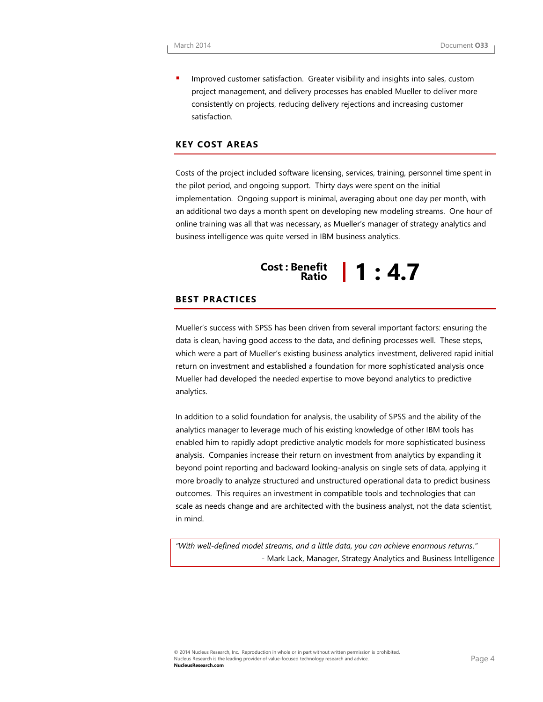Improved customer satisfaction. Greater visibility and insights into sales, custom project management, and delivery processes has enabled Mueller to deliver more consistently on projects, reducing delivery rejections and increasing customer satisfaction.

### **KEY COST AREAS**

Costs of the project included software licensing, services, training, personnel time spent in the pilot period, and ongoing support. Thirty days were spent on the initial implementation. Ongoing support is minimal, averaging about one day per month, with an additional two days a month spent on developing new modeling streams. One hour of online training was all that was necessary, as Mueller's manager of strategy analytics and business intelligence was quite versed in IBM business analytics.

## **Cost : Benefit Ratio 1 : 4.7**

#### **BEST PRACTICES**

Mueller's success with SPSS has been driven from several important factors: ensuring the data is clean, having good access to the data, and defining processes well. These steps, which were a part of Mueller's existing business analytics investment, delivered rapid initial return on investment and established a foundation for more sophisticated analysis once Mueller had developed the needed expertise to move beyond analytics to predictive analytics.

In addition to a solid foundation for analysis, the usability of SPSS and the ability of the analytics manager to leverage much of his existing knowledge of other IBM tools has enabled him to rapidly adopt predictive analytic models for more sophisticated business analysis. Companies increase their return on investment from analytics by expanding it beyond point reporting and backward looking-analysis on single sets of data, applying it more broadly to analyze structured and unstructured operational data to predict business outcomes. This requires an investment in compatible tools and technologies that can scale as needs change and are architected with the business analyst, not the data scientist, in mind.

*"With well-defined model streams, and a little data, you can achieve enormous returns." -* Mark Lack, Manager, Strategy Analytics and Business Intelligence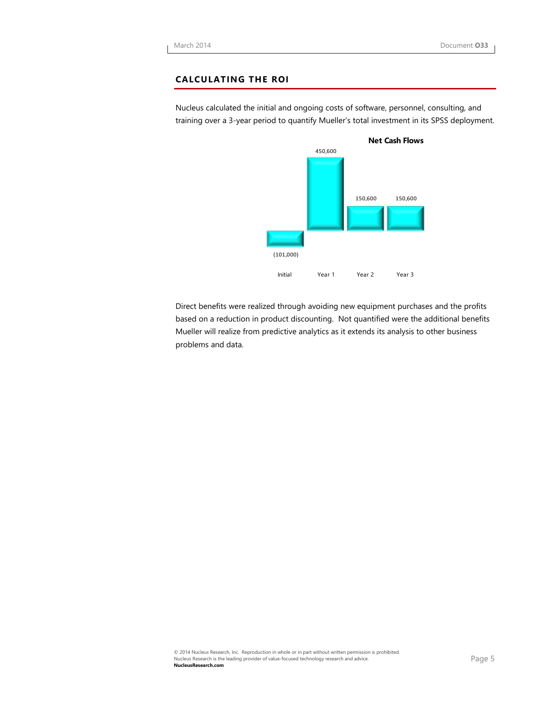### **CALCULATING THE ROI**

Nucleus calculated the initial and ongoing costs of software, personnel, consulting, and training over a 3-year period to quantify Mueller's total investment in its SPSS deployment.



Direct benefits were realized through avoiding new equipment purchases and the profits based on a reduction in product discounting. Not quantified were the additional benefits Mueller will realize from predictive analytics as it extends its analysis to other business problems and data.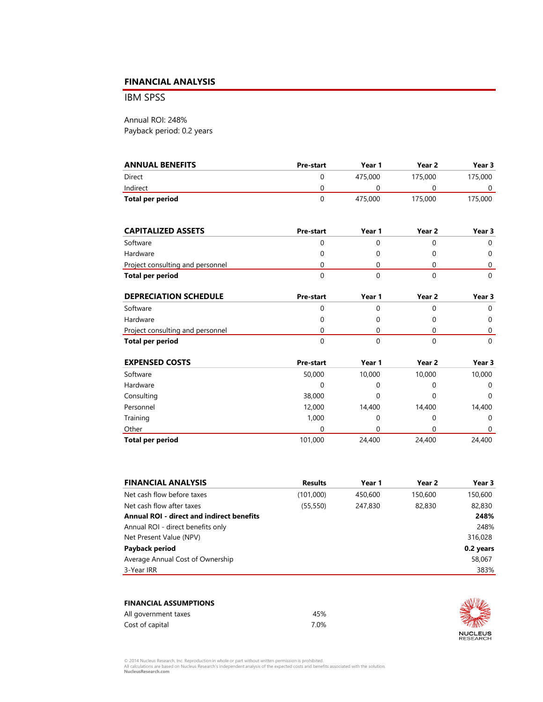### **FINANCIAL ANALYSIS**

IBM SPSS

Annual ROI: 248% Payback period: 0.2 years

| <b>ANNUAL BENEFITS</b> | <b>Pre-start</b> | Year 1  | Year <sub>2</sub> | Year 3  |
|------------------------|------------------|---------|-------------------|---------|
| Direct                 |                  | 475.000 | 175,000           | 175,000 |
| Indirect               |                  |         |                   |         |
| Total per period       |                  | 475.000 | 175.000           | 175,000 |

| <b>CAPITALIZED ASSETS</b>        | Pre-start | Year 1 | Year <sub>2</sub> | Year 3 |  |
|----------------------------------|-----------|--------|-------------------|--------|--|
| Software                         |           |        |                   |        |  |
| Hardware                         |           |        |                   |        |  |
| Project consulting and personnel |           |        |                   |        |  |
| Total per period                 |           |        |                   |        |  |

| <b>DEPRECIATION SCHEDULE</b>     | <b>Pre-start</b> | Year 1 | Year 2 | Year 3 |  |
|----------------------------------|------------------|--------|--------|--------|--|
| Software                         |                  |        |        |        |  |
| Hardware                         |                  |        |        |        |  |
| Project consulting and personnel | Ω                |        |        |        |  |
| Total per period                 |                  |        |        |        |  |

| <b>EXPENSED COSTS</b>   | <b>Pre-start</b> | Year 1 | Year 2 | Year 3 |
|-------------------------|------------------|--------|--------|--------|
| Software                | 50,000           | 10,000 | 10,000 | 10,000 |
| Hardware                | 0                | 0      | 0      | 0      |
| Consulting              | 38,000           | 0      | 0      | 0      |
| Personnel               | 12,000           | 14,400 | 14,400 | 14,400 |
| Training                | 1,000            | 0      | 0      | 0      |
| Other                   | 0                |        |        | 0      |
| <b>Total per period</b> | 101,000          | 24,400 | 24,400 | 24,400 |

| <b>FINANCIAL ANALYSIS</b>                        | <b>Results</b> | Year 1  | Year 2  | Year 3    |
|--------------------------------------------------|----------------|---------|---------|-----------|
| Net cash flow before taxes                       | (101,000)      | 450,600 | 150,600 | 150,600   |
| Net cash flow after taxes                        | (55, 550)      | 247,830 | 82,830  | 82,830    |
| <b>Annual ROI - direct and indirect benefits</b> |                |         |         | 248%      |
| Annual ROI - direct benefits only                |                |         |         | 248%      |
| Net Present Value (NPV)                          |                |         |         | 316,028   |
| Payback period                                   |                |         |         | 0.2 years |
| Average Annual Cost of Ownership                 |                |         |         | 58,067    |
| 3-Year IRR                                       |                |         |         | 383%      |

| <b>FINANCIAL ASSUMPTIONS</b> |      |  |
|------------------------------|------|--|
| All government taxes         | 45%  |  |
| Cost of capital              | 7 በ% |  |



© 2014 Nucleus Research, Inc. Reproduction in whole or part without written permission is prohibited.<br>All calculations are based on Nucleus Research's independent analysis of the expected costs and benefits associated with